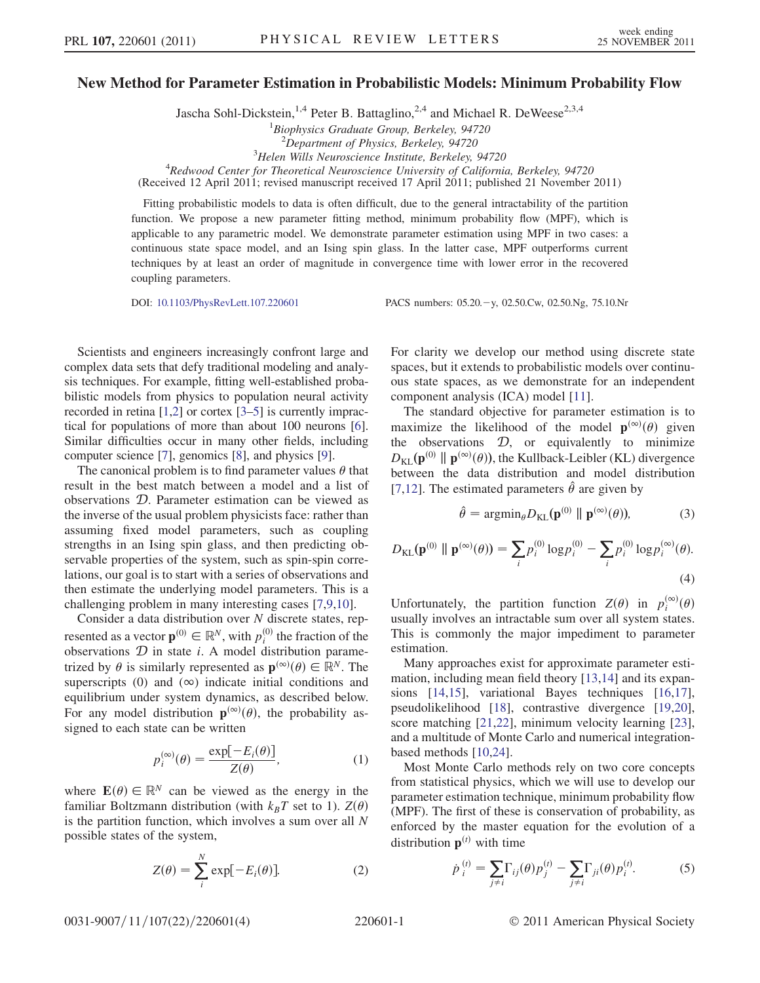# New Method for Parameter Estimation in Probabilistic Models: Minimum Probability Flow

Jascha Sohl-Dickstein,<sup>1,4</sup> Peter B. Battaglino,<sup>2,4</sup> and Michael R. DeWeese<sup>2,3,4</sup>

<sup>1</sup>Biophysics Graduate Group, Berkeley, 94720

 $2$ Department of Physics, Berkeley, 94720

 $3$ Helen Wills Neuroscience Institute, Berkeley, 94720

<sup>3</sup>Helen Wills Neuroscience Institute, Berkeley, 94720<br><sup>4</sup>Redwood Center for Theoretical Neuroscience University of California, Berkeley, 94720

(Received 12 April 2011; revised manuscript received 17 April 2011; published 21 November 2011)

Fitting probabilistic models to data is often difficult, due to the general intractability of the partition function. We propose a new parameter fitting method, minimum probability flow (MPF), which is applicable to any parametric model. We demonstrate parameter estimation using MPF in two cases: a continuous state space model, and an Ising spin glass. In the latter case, MPF outperforms current techniques by at least an order of magnitude in convergence time with lower error in the recovered coupling parameters.

DOI: [10.1103/PhysRevLett.107.220601](http://dx.doi.org/10.1103/PhysRevLett.107.220601) PACS numbers: 05.20.y, 02.50.Cw, 02.50.Ng, 75.10.Nr

Scientists and engineers increasingly confront large and complex data sets that defy traditional modeling and analysis techniques. For example, fitting well-established probabilistic models from physics to population neural activity recorded in retina [\[1](#page-3-0)[,2](#page-3-1)] or cortex [[3–](#page-3-2)[5](#page-3-3)] is currently impractical for populations of more than about 100 neurons [\[6](#page-3-4)]. Similar difficulties occur in many other fields, including computer science [\[7](#page-3-5)], genomics [\[8](#page-3-6)], and physics [\[9](#page-3-7)].

The canonical problem is to find parameter values  $\theta$  that result in the best match between a model and a list of observations D. Parameter estimation can be viewed as the inverse of the usual problem physicists face: rather than assuming fixed model parameters, such as coupling strengths in an Ising spin glass, and then predicting observable properties of the system, such as spin-spin correlations, our goal is to start with a series of observations and then estimate the underlying model parameters. This is a challenging problem in many interesting cases [\[7,](#page-3-5)[9](#page-3-7)[,10](#page-3-8)].

Consider a data distribution over  $N$  discrete states, represented as a vector  $\mathbf{p}^{(0)} \in \mathbb{R}^N$ , with  $p_i^{(0)}$  the fraction of the observations  $\mathcal{D}$  in state *i* A model distribution parameobservations  $D$  in state *i*. A model distribution parametrized by  $\theta$  is similarly represented as  $\mathbf{p}^{(\infty)}(\theta) \in \mathbb{R}^N$ . The superscripts (0) and  $(\infty)$  indicate initial conditions and equilibrium under system dynamics, as described below. For any model distribution  $\mathbf{p}^{(\infty)}(\theta)$ , the probability assigned to each state can be written

$$
p_i^{(\infty)}(\theta) = \frac{\exp[-E_i(\theta)]}{Z(\theta)},
$$
\n(1)

where  $\mathbf{E}(\theta) \in \mathbb{R}^N$  can be viewed as the energy in the familiar Boltzmann distribution (with  $k_BT$  set to 1).  $Z(\theta)$ is the partition function, which involves a sum over all  $N$ possible states of the system,

$$
Z(\theta) = \sum_{i}^{N} \exp[-E_i(\theta)].
$$
 (2)

For clarity we develop our method using discrete state spaces, but it extends to probabilistic models over continuous state spaces, as we demonstrate for an independent component analysis (ICA) model [\[11\]](#page-3-9).

The standard objective for parameter estimation is to maximize the likelihood of the model  $\mathbf{p}^{(\infty)}(\theta)$  given the observations  $D$ , or equivalently to minimize  $D_{\text{KL}}(\mathbf{p}^{(0)} \parallel \mathbf{p}^{(\infty)}(\theta))$ , the Kullback-Leibler (KL) divergence between the data distribution and model distribution [\[7,](#page-3-5)[12\]](#page-3-10). The estimated parameters  $\hat{\theta}$  are given by

$$
\hat{\theta} = \operatorname{argmin}_{\theta} D_{\mathrm{KL}}(\mathbf{p}^{(0)} \parallel \mathbf{p}^{(\infty)}(\theta)), \tag{3}
$$

<span id="page-0-2"></span>
$$
D_{\text{KL}}(\mathbf{p}^{(0)} \parallel \mathbf{p}^{(\infty)}(\theta)) = \sum_{i} p_i^{(0)} \log p_i^{(0)} - \sum_{i} p_i^{(0)} \log p_i^{(\infty)}(\theta).
$$
\n(4)

<span id="page-0-1"></span>Unfortunately, the partition function  $Z(\theta)$  in  $p_i^{(\infty)}(\theta)$ <br>usually involves an intractable sum over all system states usually involves an intractable sum over all system states. This is commonly the major impediment to parameter estimation.

Many approaches exist for approximate parameter estimation, including mean field theory [[13,](#page-3-11)[14\]](#page-3-12) and its expansions [\[14](#page-3-12)[,15\]](#page-3-13), variational Bayes techniques [\[16,](#page-3-14)[17\]](#page-3-15), pseudolikelihood [[18](#page-3-16)], contrastive divergence [\[19,](#page-3-17)[20\]](#page-3-18), score matching [[21](#page-3-19),[22](#page-3-20)], minimum velocity learning [[23\]](#page-3-21), and a multitude of Monte Carlo and numerical integrationbased methods [[10](#page-3-8),[24](#page-3-22)].

Most Monte Carlo methods rely on two core concepts from statistical physics, which we will use to develop our parameter estimation technique, minimum probability flow (MPF). The first of these is conservation of probability, as enforced by the master equation for the evolution of a distribution  $\mathbf{p}^{(t)}$  with time

<span id="page-0-0"></span>
$$
\dot{p}_i^{(t)} = \sum_{j \neq i} \Gamma_{ij}(\theta) p_j^{(t)} - \sum_{j \neq i} \Gamma_{ji}(\theta) p_i^{(t)}.
$$
 (5)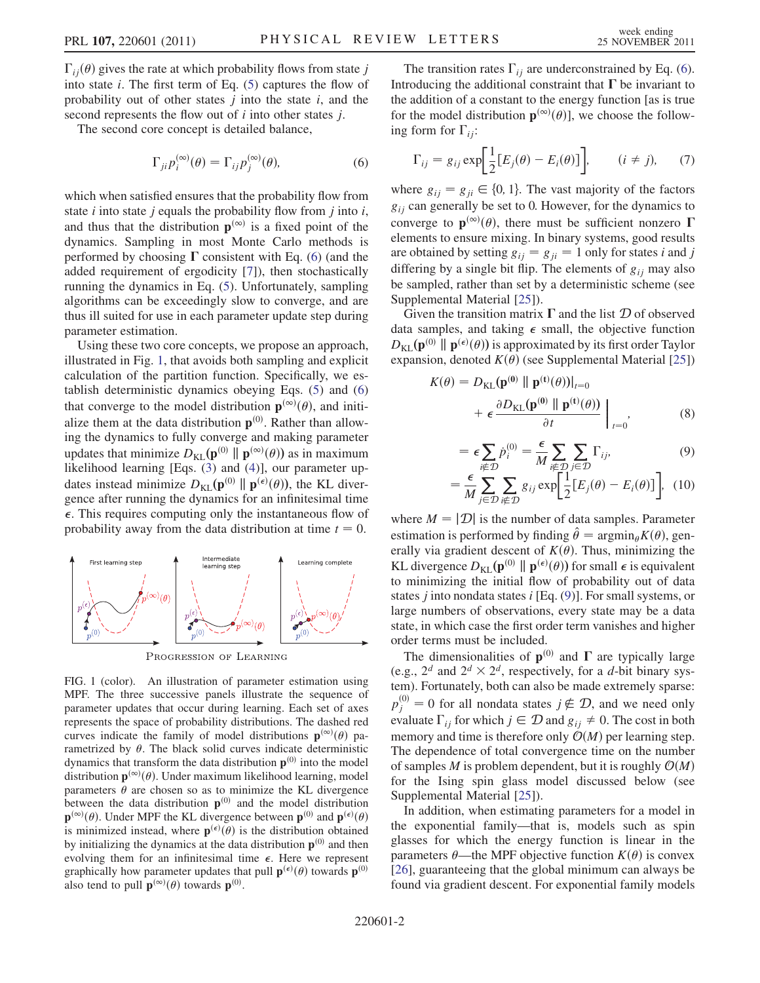$\Gamma_{ii}(\theta)$  gives the rate at which probability flows from state j into state  $i$ . The first term of Eq. ([5\)](#page-0-0) captures the flow of probability out of other states  $j$  into the state  $i$ , and the second represents the flow out of  $i$  into other states  $j$ .

<span id="page-1-0"></span>The second core concept is detailed balance,

$$
\Gamma_{ji} p_i^{(\infty)}(\theta) = \Gamma_{ij} p_j^{(\infty)}(\theta), \tag{6}
$$

which when satisfied ensures that the probability flow from state  $i$  into state  $j$  equals the probability flow from  $j$  into  $i$ , and thus that the distribution  $p^{(\infty)}$  is a fixed point of the dynamics. Sampling in most Monte Carlo methods is performed by choosing  $\Gamma$  consistent with Eq. ([6\)](#page-1-0) (and the added requirement of ergodicity [[7](#page-3-5)]), then stochastically running the dynamics in Eq. ([5](#page-0-0)). Unfortunately, sampling algorithms can be exceedingly slow to converge, and are thus ill suited for use in each parameter update step during parameter estimation.

Using these two core concepts, we propose an approach, illustrated in Fig. [1,](#page-1-1) that avoids both sampling and explicit calculation of the partition function. Specifically, we establish deterministic dynamics obeying Eqs. [\(5](#page-0-0)) and [\(6\)](#page-1-0) that converge to the model distribution  $\mathbf{p}^{(\infty)}(\theta)$ , and initialize them at the data distribution  $p^{(0)}$ . Rather than allowing the dynamics to fully converge and making parameter updates that minimize  $D_{\text{KL}}(\mathbf{p}^{(0)} \parallel \mathbf{p}^{(\infty)}(\theta))$  as in maximum likelihood learning [Eqs. ([3\)](#page-0-1) and ([4](#page-0-2))], our parameter updates instead minimize  $D_{KL}(\mathbf{p}^{(0)} \parallel \mathbf{p}^{(\epsilon)}(\theta))$ , the KL diver-<br>gence after running the dynamics for an infinitesimal time gence after running the dynamics for an infinitesimal time  $\epsilon$ . This requires computing only the instantaneous flow of probability away from the data distribution at time  $t = 0$ .

<span id="page-1-1"></span>

PROGRESSION OF LEARNING

FIG. 1 (color). An illustration of parameter estimation using MPF. The three successive panels illustrate the sequence of parameter updates that occur during learning. Each set of axes represents the space of probability distributions. The dashed red curves indicate the family of model distributions  $\mathbf{p}^{(\infty)}(\theta)$  parametrized by  $\theta$ . The black solid curves indicate deterministic dynamics that transform the data distribution  $p^{(0)}$  into the model distribution  $\mathbf{p}^{(\infty)}(\theta)$ . Under maximum likelihood learning, model parameters  $\theta$  are chosen so as to minimize the KL divergence between the data distribution  $\mathbf{p}^{(0)}$  and the model distribution  $\mathbf{p}^{(\infty)}(\theta)$ . Under MPF the KL divergence between  $\mathbf{p}^{(0)}$  and  $\mathbf{p}^{(\epsilon)}(\theta)$  is minimized instead, where  $\mathbf{n}^{(\epsilon)}(\theta)$  is the distribution obtained is minimized instead, where  $\mathbf{p}^{(\epsilon)}(\theta)$  is the distribution obtained<br>by initializing the dynamics at the data distribution  $\mathbf{p}^{(0)}$  and then by initializing the dynamics at the data distribution  $p^{(0)}$  and then evolving them for an infinitesimal time  $\epsilon$ . Here we represent graphically how parameter updates that pull  $\mathbf{p}^{(\epsilon)}(\theta)$  towards  $\mathbf{p}^{(0)}$ <br>also tend to pull  $\mathbf{n}^{(\infty)}(\theta)$  towards  $\mathbf{n}^{(0)}$ also tend to pull  $\mathbf{p}^{(\infty)}(\theta)$  towards  $\mathbf{p}^{(0)}$ .

The transition rates  $\Gamma_{ij}$  are underconstrained by Eq. ([6\)](#page-1-0). Introducing the additional constraint that  $\Gamma$  be invariant to the addition of a constant to the energy function [as is true for the model distribution  $\mathbf{p}^{(\infty)}(\theta)$ ], we choose the following form for  $\Gamma_{ii}$ :

$$
\Gamma_{ij} = g_{ij} \exp\left[\frac{1}{2} [E_j(\theta) - E_i(\theta)]\right], \qquad (i \neq j), \qquad (7)
$$

where  $g_{ij} = g_{ji} \in \{0, 1\}$ . The vast majority of the factors  $g_{ij}$  can generally be set to 0. However, for the dynamics to converge to  $\mathbf{p}^{(\infty)}(\theta)$ , there must be sufficient nonzero  $\Gamma$ elements to ensure mixing. In binary systems, good results are obtained by setting  $g_{ij} = g_{ji} = 1$  only for states *i* and *j* differing by a single bit flip. The elements of  $g_{ij}$  may also be sampled, rather than set by a deterministic scheme (see Supplemental Material [[25](#page-3-23)]).

Given the transition matrix  $\Gamma$  and the list  $\mathcal D$  of observed data samples, and taking  $\epsilon$  small, the objective function  $D_{\text{KL}}(\mathbf{p}^{(0)} \parallel \mathbf{p}^{(\epsilon)}(\theta))$  is approximated by its first order Taylor<br>expansion, denoted  $K(\theta)$  (see Supplemental Material [251) expansion, denoted  $K(\theta)$  (see Supplemental Material [[25](#page-3-23)])

<span id="page-1-2"></span>
$$
K(\theta) = D_{\text{KL}}(\mathbf{p}^{(0)} \parallel \mathbf{p}^{(t)}(\theta))|_{t=0}
$$
  
+  $\epsilon \frac{\partial D_{\text{KL}}(\mathbf{p}^{(0)} \parallel \mathbf{p}^{(t)}(\theta))}{\partial t}\Big|_{t=0}$ , (8)

$$
= \epsilon \sum_{i \notin \mathcal{D}} \dot{p}_i^{(0)} = \frac{\epsilon}{M} \sum_{i \notin \mathcal{D}} \sum_{j \in \mathcal{D}} \Gamma_{ij},
$$
(9)

$$
= \frac{\epsilon}{M} \sum_{j \in \mathcal{D}} \sum_{i \notin \mathcal{D}} g_{ij} \exp\left[\frac{1}{2} [E_j(\theta) - E_i(\theta)]\right], \quad (10)
$$

where  $M = |\mathcal{D}|$  is the number of data samples. Parameter estimation is performed by finding  $\hat{\theta} = \arg\min_{\theta} K(\theta)$ , generally via gradient descent of  $K(\theta)$ . Thus, minimizing the KL divergence  $D_{\text{KL}}(\mathbf{p}^{(0)} \parallel \mathbf{p}^{(\epsilon)}(\theta))$  for small  $\epsilon$  is equivalent<br>to minimizing the initial flow of probability out of data to minimizing the initial flow of probability out of data states *j* into nondata states *i* [Eq.  $(9)$  $(9)$ ]. For small systems, or large numbers of observations, every state may be a data state, in which case the first order term vanishes and higher order terms must be included.

The dimensionalities of  $p^{(0)}$  and  $\Gamma$  are typically large (e.g.,  $2^d$  and  $2^d \times 2^d$ , respectively, for a d-bit binary system). Fortunately, both can also be made extremely sparse:  $p_j^{(0)} = 0$  for all nondata states  $j \notin \mathcal{D}$ , and we need only evaluate  $\Gamma_{ii}$  for which  $j \in \mathcal{D}$  and  $g_{ii} \neq 0$ . The cost in both memory and time is therefore only  $\mathcal{O}(M)$  per learning step. The dependence of total convergence time on the number of samples M is problem dependent, but it is roughly  $\mathcal{O}(M)$ for the Ising spin glass model discussed below (see Supplemental Material [[25](#page-3-23)]).

In addition, when estimating parameters for a model in the exponential family—that is, models such as spin glasses for which the energy function is linear in the parameters  $\theta$ —the MPF objective function  $K(\theta)$  is convex [\[26\]](#page-3-24), guaranteeing that the global minimum can always be found via gradient descent. For exponential family models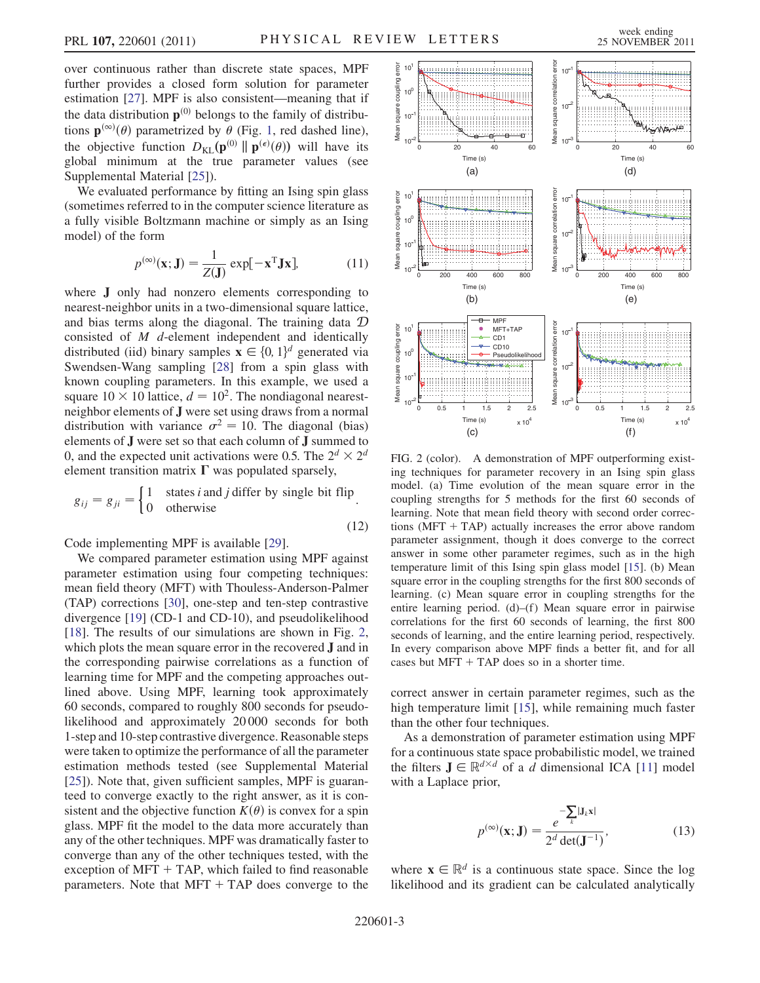over continuous rather than discrete state spaces, MPF further provides a closed form solution for parameter estimation [[27](#page-3-25)]. MPF is also consistent—meaning that if the data distribution  $\mathbf{p}^{(0)}$  belongs to the family of distributions  $\mathbf{p}^{(\infty)}(\theta)$  parametrized by  $\theta$  (Fig. [1,](#page-1-1) red dashed line), the objective function  $D_{\text{KL}}(\mathbf{p}^{(0)} \parallel \mathbf{p}^{(\epsilon)}(\theta))$  will have its<br>olohal minimum at the true parameter values (see global minimum at the true parameter values (see Supplemental Material [[25](#page-3-23)]).

We evaluated performance by fitting an Ising spin glass (sometimes referred to in the computer science literature as a fully visible Boltzmann machine or simply as an Ising model) of the form

$$
p^{(\infty)}(\mathbf{x}; \mathbf{J}) = \frac{1}{Z(\mathbf{J})} \exp[-\mathbf{x}^{\mathrm{T}} \mathbf{J} \mathbf{x}],
$$
 (11)

where J only had nonzero elements corresponding to nearest-neighbor units in a two-dimensional square lattice, and bias terms along the diagonal. The training data D consisted of M d-element independent and identically distributed (iid) binary samples  $\mathbf{x} \in \{0, 1\}^d$  generated via<br>Swendsen-Wang sampling [28] from a spin glass with Swendsen-Wang sampling [[28](#page-3-26)] from a spin glass with known coupling parameters. In this example, we used a square  $10 \times 10$  lattice,  $d = 10^2$ . The nondiagonal nearestneighbor elements of J were set using draws from a normal distribution with variance  $\sigma^2 = 10$ . The diagonal (bias) elements of  $J$  were set so that each column of  $J$  summed to 0, and the expected unit activations were 0.5. The  $2^d \times 2^d$ element transition matrix  $\Gamma$  was populated sparsely,

$$
g_{ij} = g_{ji} = \begin{cases} 1 & \text{states } i \text{ and } j \text{ differ by single bit flip} \\ 0 & \text{otherwise} \end{cases}
$$
.

Code implementing MPF is available [[29\]](#page-3-27).

We compared parameter estimation using MPF against parameter estimation using four competing techniques: mean field theory (MFT) with Thouless-Anderson-Palmer (TAP) corrections [[30\]](#page-3-28), one-step and ten-step contrastive divergence [\[19\]](#page-3-17) (CD-1 and CD-10), and pseudolikelihood [\[18\]](#page-3-16). The results of our simulations are shown in Fig. [2](#page-2-0), which plots the mean square error in the recovered J and in the corresponding pairwise correlations as a function of learning time for MPF and the competing approaches outlined above. Using MPF, learning took approximately 60 seconds, compared to roughly 800 seconds for pseudolikelihood and approximately 20 000 seconds for both 1-step and 10-step contrastive divergence. Reasonable steps were taken to optimize the performance of all the parameter estimation methods tested (see Supplemental Material [\[25\]](#page-3-23)). Note that, given sufficient samples, MPF is guaranteed to converge exactly to the right answer, as it is consistent and the objective function  $K(\theta)$  is convex for a spin glass. MPF fit the model to the data more accurately than any of the other techniques. MPF was dramatically faster to converge than any of the other techniques tested, with the exception of  $MFT + TAP$ , which failed to find reasonable parameters. Note that  $MFT + TAP$  does converge to the

<span id="page-2-0"></span>

FIG. 2 (color). A demonstration of MPF outperforming existing techniques for parameter recovery in an Ising spin glass model. (a) Time evolution of the mean square error in the coupling strengths for 5 methods for the first 60 seconds of learning. Note that mean field theory with second order corrections ( $MFT + TAP$ ) actually increases the error above random parameter assignment, though it does converge to the correct answer in some other parameter regimes, such as in the high temperature limit of this Ising spin glass model [\[15\]](#page-3-13). (b) Mean square error in the coupling strengths for the first 800 seconds of learning. (c) Mean square error in coupling strengths for the entire learning period.  $(d)$ – $(f)$  Mean square error in pairwise correlations for the first 60 seconds of learning, the first 800 seconds of learning, and the entire learning period, respectively. In every comparison above MPF finds a better fit, and for all cases but  $MFT + TAP$  does so in a shorter time.

correct answer in certain parameter regimes, such as the high temperature limit [\[15\]](#page-3-13), while remaining much faster than the other four techniques.

As a demonstration of parameter estimation using MPF for a continuous state space probabilistic model, we trained the filters  $J \in \mathbb{R}^{d \times d}$  of a d dimensional ICA [\[11\]](#page-3-9) model with a Laplace prior,

$$
p^{(\infty)}(\mathbf{x}; \mathbf{J}) = \frac{e^{-\sum_{k} |\mathbf{J}_{k}\mathbf{x}|}}{2^{d} \det(\mathbf{J}^{-1})},
$$
(13)

where  $\mathbf{x} \in \mathbb{R}^d$  is a continuous state space. Since the log likelihood and its gradient can be calculated analytically

(12)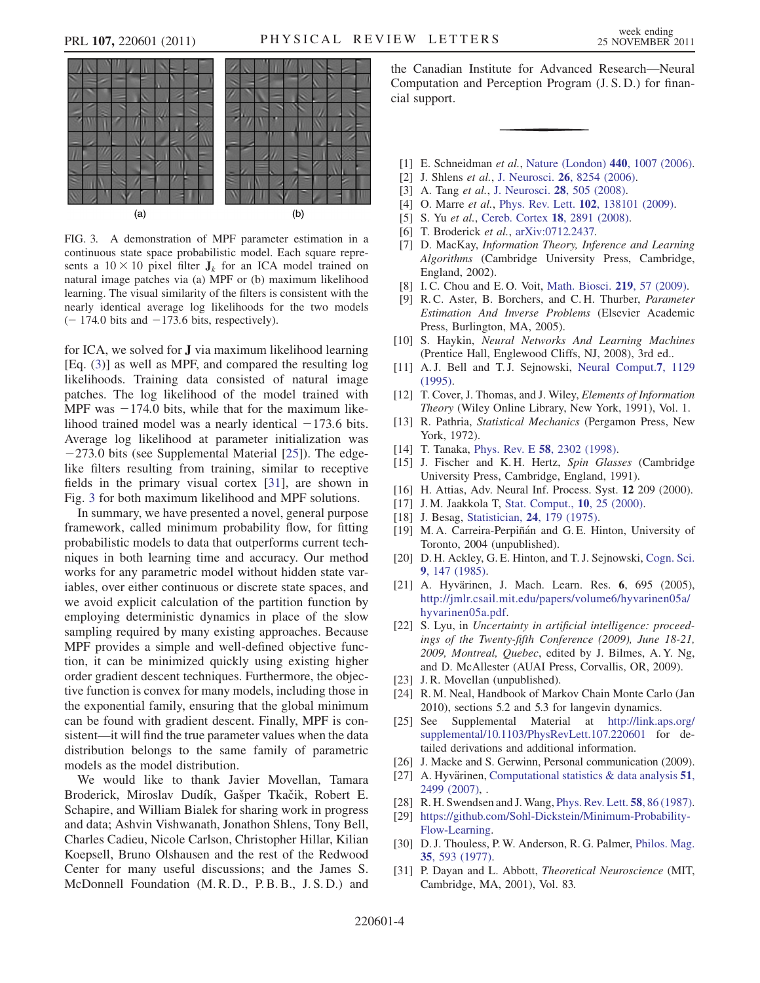<span id="page-3-30"></span>

FIG. 3. A demonstration of MPF parameter estimation in a continuous state space probabilistic model. Each square represents a  $10 \times 10$  pixel filter  $J_k$  for an ICA model trained on natural image patches via (a) MPF or (b) maximum likelihood learning. The visual similarity of the filters is consistent with the nearly identical average log likelihoods for the two models  $(-174.0 \text{ bits and } -173.6 \text{ bits, respectively}).$ 

for ICA, we solved for J via maximum likelihood learning [Eq. ([3\)](#page-0-1)] as well as MPF, and compared the resulting log likelihoods. Training data consisted of natural image patches. The log likelihood of the model trained with MPF was  $-174.0$  bits, while that for the maximum likelihood trained model was a nearly identical  $-173.6$  bits. Average log likelihood at parameter initialization was  $-273.0$  bits (see Supplemental Material [\[25\]](#page-3-23)). The edgelike filters resulting from training, similar to receptive fields in the primary visual cortex [\[31\]](#page-3-29), are shown in Fig. [3](#page-3-30) for both maximum likelihood and MPF solutions.

In summary, we have presented a novel, general purpose framework, called minimum probability flow, for fitting probabilistic models to data that outperforms current techniques in both learning time and accuracy. Our method works for any parametric model without hidden state variables, over either continuous or discrete state spaces, and we avoid explicit calculation of the partition function by employing deterministic dynamics in place of the slow sampling required by many existing approaches. Because MPF provides a simple and well-defined objective function, it can be minimized quickly using existing higher order gradient descent techniques. Furthermore, the objective function is convex for many models, including those in the exponential family, ensuring that the global minimum can be found with gradient descent. Finally, MPF is consistent—it will find the true parameter values when the data distribution belongs to the same family of parametric models as the model distribution.

We would like to thank Javier Movellan, Tamara Broderick, Miroslav Dudík, Gašper Tkačik, Robert E. Schapire, and William Bialek for sharing work in progress and data; Ashvin Vishwanath, Jonathon Shlens, Tony Bell, Charles Cadieu, Nicole Carlson, Christopher Hillar, Kilian Koepsell, Bruno Olshausen and the rest of the Redwood Center for many useful discussions; and the James S. McDonnell Foundation (M. R. D., P. B. B., J. S. D.) and the Canadian Institute for Advanced Research—Neural Computation and Perception Program (J. S. D.) for financial support.

- <span id="page-3-1"></span><span id="page-3-0"></span>[1] E. Schneidman et al., [Nature \(London\)](http://dx.doi.org/10.1038/nature04701) 440, 1007 (2006).
- <span id="page-3-2"></span>[2] J. Shlens et al., J. Neurosci. **26**[, 8254 \(2006\).](http://dx.doi.org/10.1523/JNEUROSCI.1282-06.2006)
- [3] A. Tang *et al.*, J. Neurosci. **28**[, 505 \(2008\).](http://dx.doi.org/10.1523/JNEUROSCI.3359-07.2008)
- <span id="page-3-3"></span>[4] O. Marre et al., Phys. Rev. Lett. **102**[, 138101 \(2009\)](http://dx.doi.org/10.1103/PhysRevLett.102.138101).
- <span id="page-3-4"></span>[5] S. Yu et al., [Cereb. Cortex](http://dx.doi.org/10.1093/cercor/bhn047) 18, 2891 (2008).
- <span id="page-3-5"></span>[6] T. Broderick et al., [arXiv:0712.2437.](http://arXiv.org/abs/0712.2437)
- [7] D. MacKay, Information Theory, Inference and Learning Algorithms (Cambridge University Press, Cambridge, England, 2002).
- <span id="page-3-7"></span><span id="page-3-6"></span>[8] I. C. Chou and E. O. Voit, [Math. Biosci.](http://dx.doi.org/10.1016/j.mbs.2009.03.002) **219**, 57 (2009).
- [9] R.C. Aster, B. Borchers, and C.H. Thurber, Parameter Estimation And Inverse Problems (Elsevier Academic Press, Burlington, MA, 2005).
- <span id="page-3-9"></span><span id="page-3-8"></span>[10] S. Haykin, Neural Networks And Learning Machines (Prentice Hall, Englewood Cliffs, NJ, 2008), 3rd ed..
- <span id="page-3-10"></span>[11] A. J. Bell and T. J. Sejnowski, [Neural Comput.](http://dx.doi.org/10.1162/neco.1995.7.6.1129)7, 1129 [\(1995\)](http://dx.doi.org/10.1162/neco.1995.7.6.1129).
- <span id="page-3-11"></span>[12] T. Cover, J. Thomas, and J. Wiley, Elements of Information Theory (Wiley Online Library, New York, 1991), Vol. 1.
- <span id="page-3-12"></span>[13] R. Pathria, Statistical Mechanics (Pergamon Press, New York, 1972).
- <span id="page-3-13"></span>[14] T. Tanaka, *Phys. Rev. E* **58**[, 2302 \(1998\).](http://dx.doi.org/10.1103/PhysRevE.58.2302)
- <span id="page-3-14"></span>[15] J. Fischer and K. H. Hertz, Spin Glasses (Cambridge University Press, Cambridge, England, 1991).
- <span id="page-3-15"></span>[16] H. Attias, Adv. Neural Inf. Process. Syst. 12 209 (2000).
- <span id="page-3-16"></span>[17] J. M. Jaakkola T, [Stat. Comput.,](http://dx.doi.org/10.1023/A:1008932416310) 10, 25 (2000).
- <span id="page-3-17"></span>[18] J. Besag, Statistician, **24**[, 179 \(1975\)](http://dx.doi.org/10.2307/2987782).
- <span id="page-3-18"></span>[19] M. A. Carreira-Perpiñán and G. E. Hinton, University of Toronto, 2004 (unpublished).
- <span id="page-3-19"></span>[20] D. H. Ackley, G. E. Hinton, and T. J. Sejnowski, [Cogn. Sci.](http://dx.doi.org/10.1207/s15516709cog0901_7) 9[, 147 \(1985\)](http://dx.doi.org/10.1207/s15516709cog0901_7).
- [21] A. Hyvärinen, J. Mach. Learn. Res. 6, 695 (2005), [http://jmlr.csail.mit.edu/papers/volume6/hyvarinen05a/](http://jmlr.csail.mit.edu/papers/volume6/hyvarinen05a/hyvarinen05a.pdf) [hyvarinen05a.pdf.](http://jmlr.csail.mit.edu/papers/volume6/hyvarinen05a/hyvarinen05a.pdf)
- <span id="page-3-20"></span>[22] S. Lyu, in Uncertainty in artificial intelligence: proceedings of the Twenty-fifth Conference (2009), June 18-21, 2009, Montreal, Quebec, edited by J. Bilmes, A. Y. Ng, and D. McAllester (AUAI Press, Corvallis, OR, 2009).
- <span id="page-3-22"></span><span id="page-3-21"></span>[23] J. R. Movellan (unpublished).
- <span id="page-3-23"></span>[24] R. M. Neal, Handbook of Markov Chain Monte Carlo (Jan 2010), sections 5.2 and 5.3 for langevin dynamics.
- [25] See Supplemental Material at [http://link.aps.org/](http://link.aps.org/supplemental/10.1103/PhysRevLett.107.220601) [supplemental/10.1103/PhysRevLett.107.220601](http://link.aps.org/supplemental/10.1103/PhysRevLett.107.220601) for detailed derivations and additional information.
- <span id="page-3-25"></span><span id="page-3-24"></span>[26] J. Macke and S. Gerwinn, Personal communication (2009).
- <span id="page-3-26"></span>[27] A. Hyvärinen, Computational statistics  $\&$  data analysis 51, [2499 \(2007\)](http://dx.doi.org/10.1016/j.csda.2006.09.003), .
- <span id="page-3-27"></span>[28] R. H. Swendsen and J. Wang, [Phys. Rev. Lett.](http://dx.doi.org/10.1103/PhysRevLett.58.86) 58, 86 (1987).
- <span id="page-3-28"></span>[29] [https://github.com/Sohl-Dickstein/Minimum-Probability-](https://github.com/Sohl-Dickstein/Minimum-Probability-Flow-Learning)[Flow-Learning.](https://github.com/Sohl-Dickstein/Minimum-Probability-Flow-Learning)
- <span id="page-3-29"></span>[30] D. J. Thouless, P. W. Anderson, R. G. Palmer, [Philos. Mag.](http://dx.doi.org/10.1080/14786437708235992) 35[, 593 \(1977\)](http://dx.doi.org/10.1080/14786437708235992).
- [31] P. Dayan and L. Abbott, *Theoretical Neuroscience* (MIT, Cambridge, MA, 2001), Vol. 83.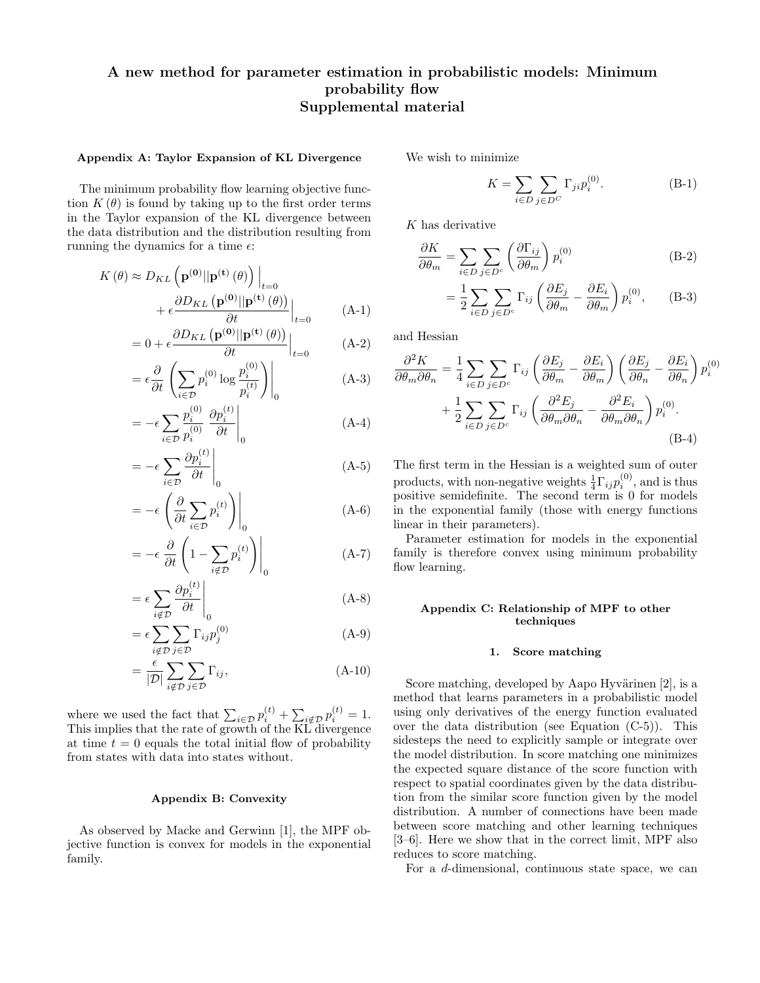# A new method for parameter estimation in probabilistic models: Minimum probability flow Supplemental material

## Appendix A: Taylor Expansion of KL Divergence

The minimum probability flow learning objective function  $K(\theta)$  is found by taking up to the first order terms in the Taylor expansion of the KL divergence between the data distribution and the distribution resulting from running the dynamics for a time  $\epsilon$ :

$$
K(\theta) \approx D_{KL} \left( \mathbf{p}^{(\mathbf{0})} || \mathbf{p}^{(\mathbf{t})}(\theta) \right) \Big|_{t=0}
$$
  
+  $\epsilon \frac{\partial D_{KL} \left( \mathbf{p}^{(\mathbf{0})} || \mathbf{p}^{(\mathbf{t})}(\theta) \right)}{\partial t} \Big|_{t=0}$  (A-1)

$$
= 0 + \epsilon \frac{\partial D_{KL}(\mathbf{p}^{(0)}||\mathbf{p}^{(t)}(\theta))}{\partial t}\Big|_{t=0} \tag{A-2}
$$

$$
= \epsilon \frac{\partial}{\partial t} \left( \sum_{i \in \mathcal{D}} p_i^{(0)} \log \frac{p_i^{(0)}}{p_i^{(t)}} \right) \Big|_0 \tag{A-3}
$$

$$
= -\epsilon \sum_{i \in \mathcal{D}} \frac{p_i^{(0)}}{p_i^{(0)}} \left. \frac{\partial p_i^{(t)}}{\partial t} \right|_0 \tag{A-4}
$$

$$
= -\epsilon \sum_{i \in \mathcal{D}} \frac{\partial p_i^{(t)}}{\partial t} \Big|_0 \tag{A-5}
$$

$$
= -\epsilon \left( \frac{\partial}{\partial t} \sum_{i \in \mathcal{D}} p_i^{(t)} \right) \Big|_0 \tag{A-6}
$$

$$
= -\epsilon \left. \frac{\partial}{\partial t} \left( 1 - \sum_{i \notin \mathcal{D}} p_i^{(t)} \right) \right|_0 \tag{A-7}
$$

$$
= \epsilon \sum_{i \notin \mathcal{D}} \frac{\partial p_i^{(t)}}{\partial t} \Big|_0 \tag{A-8}
$$

$$
= \epsilon \sum_{i \notin \mathcal{D}} \sum_{j \in \mathcal{D}} \Gamma_{ij} p_j^{(0)} \tag{A-9}
$$

$$
= \frac{\epsilon}{|\mathcal{D}|} \sum_{i \notin \mathcal{D}} \sum_{j \in \mathcal{D}} \Gamma_{ij}, \tag{A-10}
$$

where we used the fact that  $\sum_{i \in \mathcal{D}} p_i^{(t)} + \sum_{i \notin \mathcal{D}} p_i^{(t)} = 1$ . This implies that the rate of growth of the KL divergence at time  $t = 0$  equals the total initial flow of probability from states with data into states without.

#### Appendix B: Convexity

As observed by Macke and Gerwinn [1], the MPF objective function is convex for models in the exponential family.

We wish to minimize

$$
K = \sum_{i \in D} \sum_{j \in D^C} \Gamma_{ji} p_i^{(0)}.
$$
 (B-1)

K has derivative

$$
\frac{\partial K}{\partial \theta_m} = \sum_{i \in D} \sum_{j \in D^c} \left( \frac{\partial \Gamma_{ij}}{\partial \theta_m} \right) p_i^{(0)} \tag{B-2}
$$

$$
= \frac{1}{2} \sum_{i \in D} \sum_{j \in D^c} \Gamma_{ij} \left( \frac{\partial E_j}{\partial \theta_m} - \frac{\partial E_i}{\partial \theta_m} \right) p_i^{(0)}, \quad (B-3)
$$

and Hessian

$$
\frac{\partial^2 K}{\partial \theta_m \partial \theta_n} = \frac{1}{4} \sum_{i \in D} \sum_{j \in D^c} \Gamma_{ij} \left( \frac{\partial E_j}{\partial \theta_m} - \frac{\partial E_i}{\partial \theta_m} \right) \left( \frac{\partial E_j}{\partial \theta_n} - \frac{\partial E_i}{\partial \theta_n} \right) p_i^{(0)} + \frac{1}{2} \sum_{i \in D} \sum_{j \in D^c} \Gamma_{ij} \left( \frac{\partial^2 E_j}{\partial \theta_m \partial \theta_n} - \frac{\partial^2 E_i}{\partial \theta_m \partial \theta_n} \right) p_i^{(0)}.
$$
\n(B-4)

The first term in the Hessian is a weighted sum of outer products, with non-negative weights  $\frac{1}{4} \Gamma_{ij} p_i^{(0)}$ , and is thus positive semidefinite. The second term is 0 for models in the exponential family (those with energy functions linear in their parameters).

Parameter estimation for models in the exponential family is therefore convex using minimum probability flow learning.

## Appendix C: Relationship of MPF to other techniques

#### 1. Score matching

Score matching, developed by Aapo Hyvärinen  $[2]$ , is a method that learns parameters in a probabilistic model using only derivatives of the energy function evaluated over the data distribution (see Equation (C-5)). This sidesteps the need to explicitly sample or integrate over the model distribution. In score matching one minimizes the expected square distance of the score function with respect to spatial coordinates given by the data distribution from the similar score function given by the model distribution. A number of connections have been made between score matching and other learning techniques [3–6]. Here we show that in the correct limit, MPF also reduces to score matching.

For a d-dimensional, continuous state space, we can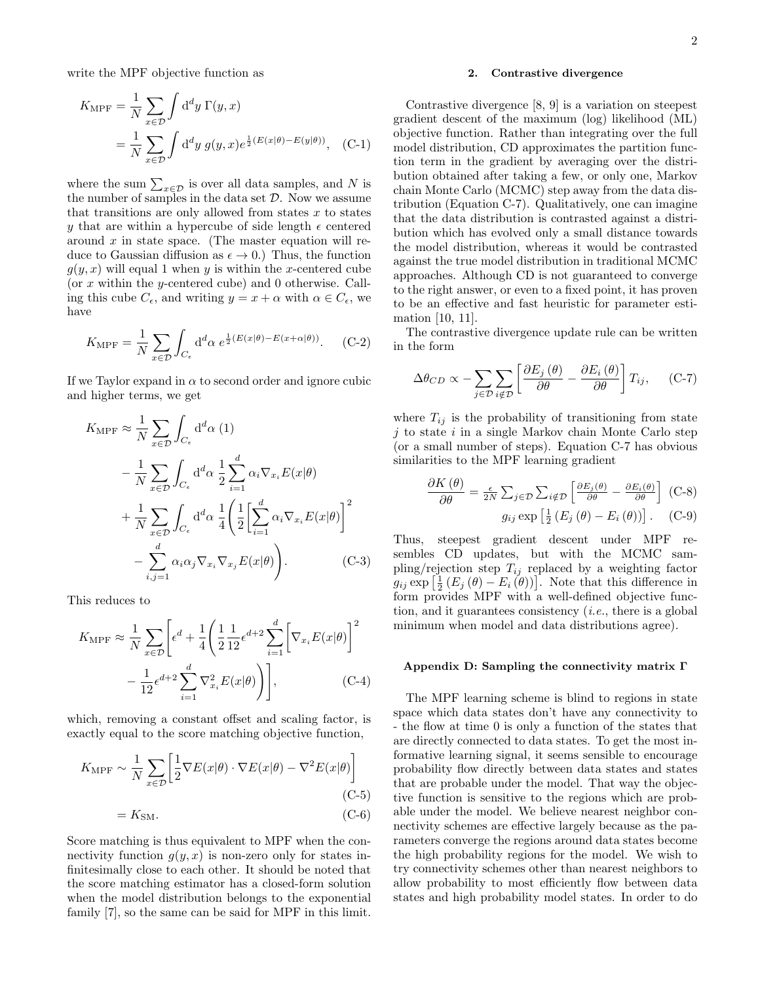write the MPF objective function as

$$
K_{\text{MPF}} = \frac{1}{N} \sum_{x \in \mathcal{D}} \int \mathrm{d}^d y \, \Gamma(y, x)
$$
  
= 
$$
\frac{1}{N} \sum_{x \in \mathcal{D}} \int \mathrm{d}^d y \, g(y, x) e^{\frac{1}{2}(E(x|\theta) - E(y|\theta))}, \quad \text{(C-1)}
$$

where the sum  $\sum_{x \in \mathcal{D}}$  is over all data samples, and N is the number of samples in the data set  $D$ . Now we assume that transitions are only allowed from states  $x$  to states y that are within a hypercube of side length  $\epsilon$  centered around  $x$  in state space. (The master equation will reduce to Gaussian diffusion as  $\epsilon \to 0$ .) Thus, the function  $g(y, x)$  will equal 1 when y is within the x-centered cube (or x within the y-centered cube) and 0 otherwise. Calling this cube  $C_{\epsilon}$ , and writing  $y = x + \alpha$  with  $\alpha \in C_{\epsilon}$ , we have

$$
K_{\text{MPF}} = \frac{1}{N} \sum_{x \in \mathcal{D}} \int_{C_{\epsilon}} \mathrm{d}^d \alpha \ e^{\frac{1}{2}(E(x|\theta) - E(x + \alpha|\theta))}.
$$
 (C-2)

If we Taylor expand in  $\alpha$  to second order and ignore cubic and higher terms, we get

$$
K_{\text{MPF}} \approx \frac{1}{N} \sum_{x \in \mathcal{D}} \int_{C_{\epsilon}} d^d \alpha (1)
$$
  

$$
- \frac{1}{N} \sum_{x \in \mathcal{D}} \int_{C_{\epsilon}} d^d \alpha \frac{1}{2} \sum_{i=1}^d \alpha_i \nabla_{x_i} E(x|\theta)
$$
  

$$
+ \frac{1}{N} \sum_{x \in \mathcal{D}} \int_{C_{\epsilon}} d^d \alpha \frac{1}{4} \left( \frac{1}{2} \left[ \sum_{i=1}^d \alpha_i \nabla_{x_i} E(x|\theta) \right]^2
$$
  

$$
- \sum_{i,j=1}^d \alpha_i \alpha_j \nabla_{x_i} \nabla_{x_j} E(x|\theta) \right). \tag{C-3}
$$

This reduces to

$$
K_{\text{MPF}} \approx \frac{1}{N} \sum_{x \in \mathcal{D}} \left[ \epsilon^d + \frac{1}{4} \left( \frac{1}{2} \frac{1}{12} \epsilon^{d+2} \sum_{i=1}^d \left[ \nabla_{x_i} E(x | \theta) \right]^2 - \frac{1}{12} \epsilon^{d+2} \sum_{i=1}^d \nabla_{x_i}^2 E(x | \theta) \right) \right], \tag{C-4}
$$

which, removing a constant offset and scaling factor, is exactly equal to the score matching objective function,

$$
K_{\text{MPF}} \sim \frac{1}{N} \sum_{x \in \mathcal{D}} \left[ \frac{1}{2} \nabla E(x|\theta) \cdot \nabla E(x|\theta) - \nabla^2 E(x|\theta) \right]
$$
\n(C-5)\n
$$
= K_{\text{SM}}.\tag{C-6}
$$

Score matching is thus equivalent to MPF when the connectivity function  $q(y, x)$  is non-zero only for states infinitesimally close to each other. It should be noted that the score matching estimator has a closed-form solution when the model distribution belongs to the exponential family [7], so the same can be said for MPF in this limit.

#### 2. Contrastive divergence

Contrastive divergence [8, 9] is a variation on steepest gradient descent of the maximum (log) likelihood (ML) objective function. Rather than integrating over the full model distribution, CD approximates the partition function term in the gradient by averaging over the distribution obtained after taking a few, or only one, Markov chain Monte Carlo (MCMC) step away from the data distribution (Equation C-7). Qualitatively, one can imagine that the data distribution is contrasted against a distribution which has evolved only a small distance towards the model distribution, whereas it would be contrasted against the true model distribution in traditional MCMC approaches. Although CD is not guaranteed to converge to the right answer, or even to a fixed point, it has proven to be an effective and fast heuristic for parameter estimation [10, 11].

The contrastive divergence update rule can be written in the form

$$
\Delta \theta_{CD} \propto -\sum_{j \in \mathcal{D}} \sum_{i \notin \mathcal{D}} \left[ \frac{\partial E_j(\theta)}{\partial \theta} - \frac{\partial E_i(\theta)}{\partial \theta} \right] T_{ij}, \quad \text{(C-7)}
$$

where  $T_{ij}$  is the probability of transitioning from state  $j$  to state  $i$  in a single Markov chain Monte Carlo step (or a small number of steps). Equation C-7 has obvious similarities to the MPF learning gradient

$$
\frac{\partial K(\theta)}{\partial \theta} = \frac{\epsilon}{2N} \sum_{j \in \mathcal{D}} \sum_{i \notin \mathcal{D}} \left[ \frac{\partial E_j(\theta)}{\partial \theta} - \frac{\partial E_i(\theta)}{\partial \theta} \right] \text{ (C-8)}
$$
  

$$
g_{ij} \exp \left[ \frac{1}{2} \left( E_j(\theta) - E_i(\theta) \right) \right]. \quad \text{(C-9)}
$$

Thus, steepest gradient descent under MPF resembles CD updates, but with the MCMC sampling/rejection step  $T_{ij}$  replaced by a weighting factor  $g_{ij} \exp\left[\frac{1}{2} \left(E_j\left(\theta\right) - E_i\left(\theta\right)\right)\right]$ . Note that this difference in form provides MPF with a well-defined objective function, and it guarantees consistency (i.e., there is a global minimum when model and data distributions agree).

#### Appendix D: Sampling the connectivity matrix Γ

The MPF learning scheme is blind to regions in state space which data states don't have any connectivity to - the flow at time 0 is only a function of the states that are directly connected to data states. To get the most informative learning signal, it seems sensible to encourage probability flow directly between data states and states that are probable under the model. That way the objective function is sensitive to the regions which are probable under the model. We believe nearest neighbor connectivity schemes are effective largely because as the parameters converge the regions around data states become the high probability regions for the model. We wish to try connectivity schemes other than nearest neighbors to allow probability to most efficiently flow between data states and high probability model states. In order to do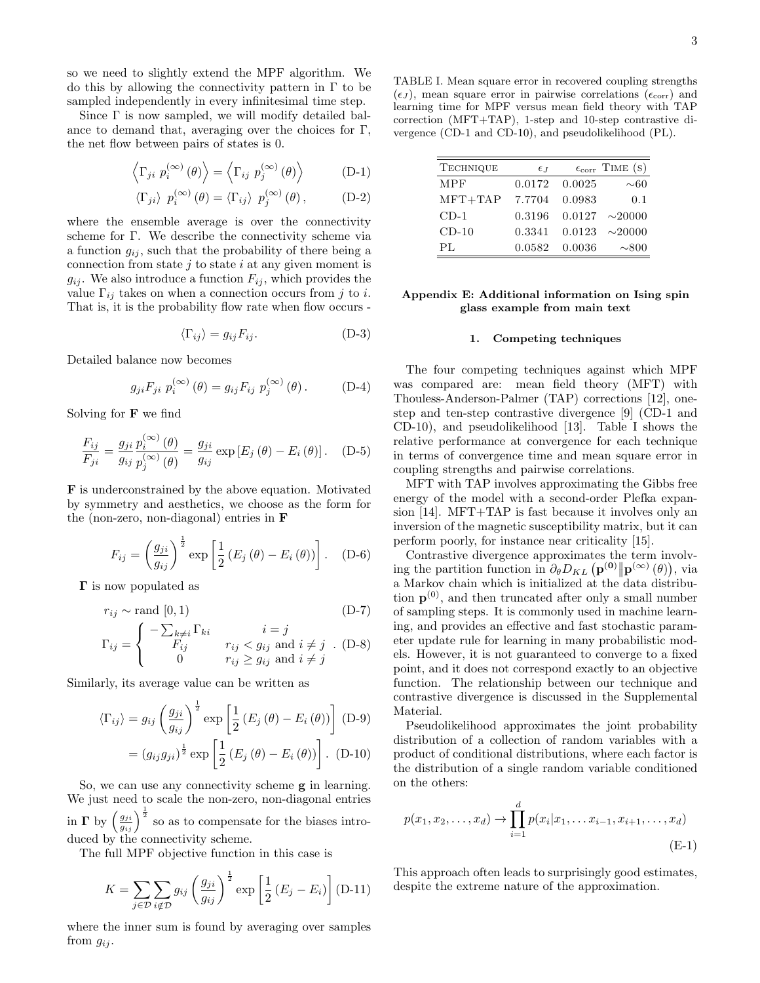so we need to slightly extend the MPF algorithm. We do this by allowing the connectivity pattern in  $\Gamma$  to be sampled independently in every infinitesimal time step.

Since Γ is now sampled, we will modify detailed balance to demand that, averaging over the choices for  $\Gamma$ , the net flow between pairs of states is 0.

$$
\left\langle \Gamma_{ji} \ p_i^{(\infty)}(\theta) \right\rangle = \left\langle \Gamma_{ij} \ p_j^{(\infty)}(\theta) \right\rangle \tag{D-1}
$$

$$
\langle \Gamma_{ji} \rangle \, p_i^{(\infty)}(\theta) = \langle \Gamma_{ij} \rangle \, p_j^{(\infty)}(\theta) \,, \tag{D-2}
$$

where the ensemble average is over the connectivity scheme for Γ. We describe the connectivity scheme via a function  $g_{ij}$ , such that the probability of there being a connection from state  $j$  to state  $i$  at any given moment is  $g_{ij}$ . We also introduce a function  $F_{ij}$ , which provides the value  $\Gamma_{ij}$  takes on when a connection occurs from j to i. That is, it is the probability flow rate when flow occurs -

$$
\langle \Gamma_{ij} \rangle = g_{ij} F_{ij}.
$$
 (D-3)

Detailed balance now becomes

$$
g_{ji}F_{ji} p_i^{(\infty)}(\theta) = g_{ij}F_{ij} p_j^{(\infty)}(\theta).
$$
 (D-4)

Solving for  $\bf{F}$  we find

$$
\frac{F_{ij}}{F_{ji}} = \frac{g_{ji}}{g_{ij}} \frac{p_i^{(\infty)}(\theta)}{p_j^{(\infty)}(\theta)} = \frac{g_{ji}}{g_{ij}} \exp\left[E_j(\theta) - E_i(\theta)\right].
$$
 (D-5)

F is underconstrained by the above equation. Motivated by symmetry and aesthetics, we choose as the form for the (non-zero, non-diagonal) entries in F

$$
F_{ij} = \left(\frac{g_{ji}}{g_{ij}}\right)^{\frac{1}{2}} \exp\left[\frac{1}{2}\left(E_j\left(\theta\right) - E_i\left(\theta\right)\right)\right]. \quad (D-6)
$$

Γ is now populated as

$$
r_{ij} \sim \text{rand } [0, 1)
$$
 (D-7)  

$$
\Gamma_{ij} = \begin{cases} -\sum_{k \neq i} \Gamma_{ki} & i = j \\ F_{ij} & r_{ij} < g_{ij} \text{ and } i \neq j \\ 0 & r_{ij} \ge g_{ij} \text{ and } i \neq j \end{cases}
$$

Similarly, its average value can be written as

$$
\langle \Gamma_{ij} \rangle = g_{ij} \left( \frac{g_{ji}}{g_{ij}} \right)^{\frac{1}{2}} \exp \left[ \frac{1}{2} \left( E_j \left( \theta \right) - E_i \left( \theta \right) \right) \right] \text{ (D-9)}
$$

$$
= (g_{ij} g_{ji})^{\frac{1}{2}} \exp \left[ \frac{1}{2} \left( E_j \left( \theta \right) - E_i \left( \theta \right) \right) \right]. \text{ (D-10)}
$$

So, we can use any connectivity scheme g in learning. We just need to scale the non-zero, non-diagonal entries in  $\Gamma$  by  $\left(\frac{g_{ji}}{g_{ij}}\right)^{\frac{1}{2}}$  so as to compensate for the biases introduced by the connectivity scheme.

The full MPF objective function in this case is

$$
K = \sum_{j \in \mathcal{D}} \sum_{i \notin \mathcal{D}} g_{ij} \left(\frac{g_{ji}}{g_{ij}}\right)^{\frac{1}{2}} \exp\left[\frac{1}{2} \left(E_j - E_i\right)\right] \text{(D-11)}
$$

where the inner sum is found by averaging over samples from  $g_{ij}$ .

TABLE I. Mean square error in recovered coupling strengths  $(\epsilon_J)$ , mean square error in pairwise correlations  $(\epsilon_{\text{corr}})$  and learning time for MPF versus mean field theory with TAP correction (MFT+TAP), 1-step and 10-step contrastive divergence (CD-1 and CD-10), and pseudolikelihood (PL).

| <b>TECHNIQUE</b> | $\epsilon_{J}$ |               | $\epsilon_{\text{corr}}$ TIME (S) |
|------------------|----------------|---------------|-----------------------------------|
| <b>MPF</b>       |                | 0.0172 0.0025 | $\sim 60$                         |
| $MFT+TAP$        | 7.7704         | 0.0983        | 0.1                               |
| $CD-1$           | 0.3196         |               | $0.0127 \sim 20000$               |
| $CD-10$          | 0.3341         | 0.0123        | $\sim$ 20000                      |
| PІ.              | 0.0582         | 0.0036        | $\sim 800$                        |

# Appendix E: Additional information on Ising spin glass example from main text

#### 1. Competing techniques

The four competing techniques against which MPF was compared are: mean field theory (MFT) with Thouless-Anderson-Palmer (TAP) corrections [12], onestep and ten-step contrastive divergence [9] (CD-1 and CD-10), and pseudolikelihood [13]. Table I shows the relative performance at convergence for each technique in terms of convergence time and mean square error in coupling strengths and pairwise correlations.

MFT with TAP involves approximating the Gibbs free energy of the model with a second-order Plefka expansion [14]. MFT+TAP is fast because it involves only an inversion of the magnetic susceptibility matrix, but it can perform poorly, for instance near criticality [15].

Contrastive divergence approximates the term involving the partition function in  $\partial_{\theta} D_{KL} \left( \mathbf{p}^{(0)} \|\mathbf{p}^{(\infty)}(\theta) \right)$ , via a Markov chain which is initialized at the data distribution  $p^{(0)}$ , and then truncated after only a small number of sampling steps. It is commonly used in machine learning, and provides an effective and fast stochastic parameter update rule for learning in many probabilistic models. However, it is not guaranteed to converge to a fixed point, and it does not correspond exactly to an objective function. The relationship between our technique and contrastive divergence is discussed in the Supplemental Material.

Pseudolikelihood approximates the joint probability distribution of a collection of random variables with a product of conditional distributions, where each factor is the distribution of a single random variable conditioned on the others:

$$
p(x_1, x_2, \dots, x_d) \to \prod_{i=1}^d p(x_i | x_1, \dots x_{i-1}, x_{i+1}, \dots, x_d)
$$
\n(E-1)

This approach often leads to surprisingly good estimates, despite the extreme nature of the approximation.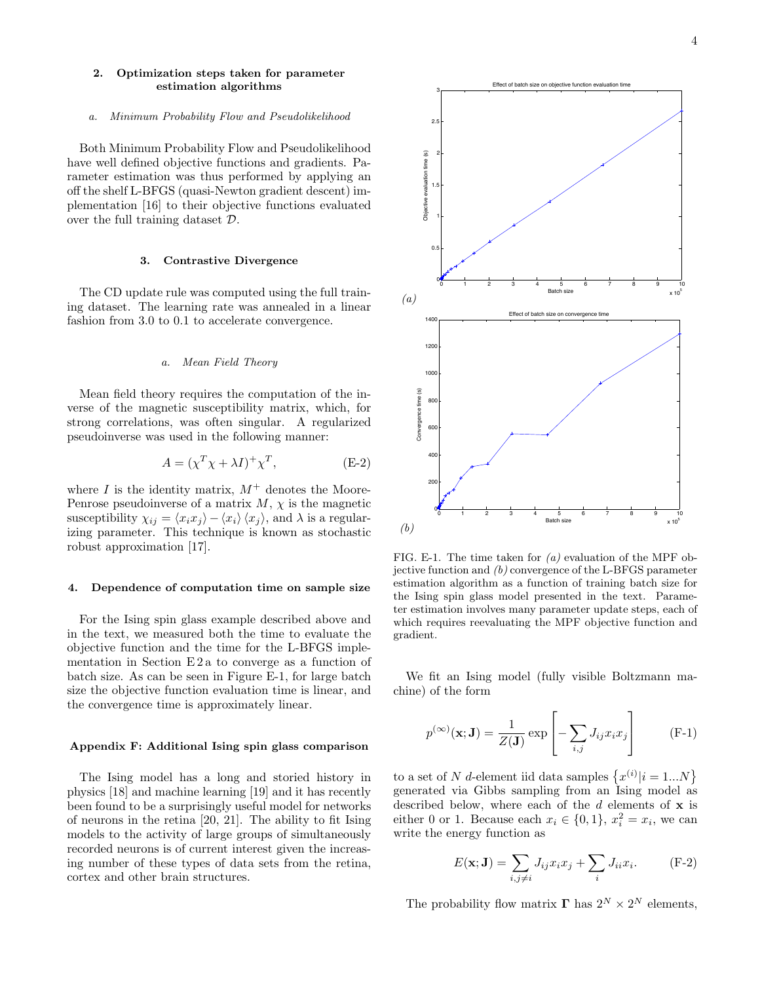## 2. Optimization steps taken for parameter estimation algorithms

#### a. Minimum Probability Flow and Pseudolikelihood

Both Minimum Probability Flow and Pseudolikelihood have well defined objective functions and gradients. Parameter estimation was thus performed by applying an off the shelf L-BFGS (quasi-Newton gradient descent) implementation [16] to their objective functions evaluated over the full training dataset D.

#### 3. Contrastive Divergence

The CD update rule was computed using the full training dataset. The learning rate was annealed in a linear fashion from 3.0 to 0.1 to accelerate convergence.

#### a. Mean Field Theory

Mean field theory requires the computation of the inverse of the magnetic susceptibility matrix, which, for strong correlations, was often singular. A regularized pseudoinverse was used in the following manner:

$$
A = (\chi^T \chi + \lambda I)^+ \chi^T, \tag{E-2}
$$

where I is the identity matrix,  $M^+$  denotes the Moore-Penrose pseudoinverse of a matrix  $M$ ,  $\chi$  is the magnetic susceptibility  $\chi_{ij} = \langle x_i x_j \rangle - \langle x_i \rangle \langle x_j \rangle$ , and  $\lambda$  is a regularizing parameter. This technique is known as stochastic robust approximation [17].

#### 4. Dependence of computation time on sample size

For the Ising spin glass example described above and in the text, we measured both the time to evaluate the objective function and the time for the L-BFGS implementation in Section E 2 a to converge as a function of batch size. As can be seen in Figure E-1, for large batch size the objective function evaluation time is linear, and the convergence time is approximately linear.

#### Appendix F: Additional Ising spin glass comparison

The Ising model has a long and storied history in physics [18] and machine learning [19] and it has recently been found to be a surprisingly useful model for networks of neurons in the retina [20, 21]. The ability to fit Ising models to the activity of large groups of simultaneously recorded neurons is of current interest given the increasing number of these types of data sets from the retina, cortex and other brain structures.



FIG. E-1. The time taken for  $(a)$  evaluation of the MPF objective function and (b) convergence of the L-BFGS parameter estimation algorithm as a function of training batch size for the Ising spin glass model presented in the text. Parameter estimation involves many parameter update steps, each of which requires reevaluating the MPF objective function and gradient.

We fit an Ising model (fully visible Boltzmann machine) of the form

$$
p^{(\infty)}(\mathbf{x}; \mathbf{J}) = \frac{1}{Z(\mathbf{J})} \exp\left[-\sum_{i,j} J_{ij} x_i x_j\right]
$$
 (F-1)

to a set of N d-element iid data samples  $\{x^{(i)}|i=1...N\}$ generated via Gibbs sampling from an Ising model as described below, where each of the  $d$  elements of  $x$  is either 0 or 1. Because each  $x_i \in \{0, 1\}$ ,  $x_i^2 = x_i$ , we can write the energy function as

$$
E(\mathbf{x}; \mathbf{J}) = \sum_{i,j \neq i} J_{ij} x_i x_j + \sum_i J_{ii} x_i.
$$
 (F-2)

The probability flow matrix  $\Gamma$  has  $2^N \times 2^N$  elements,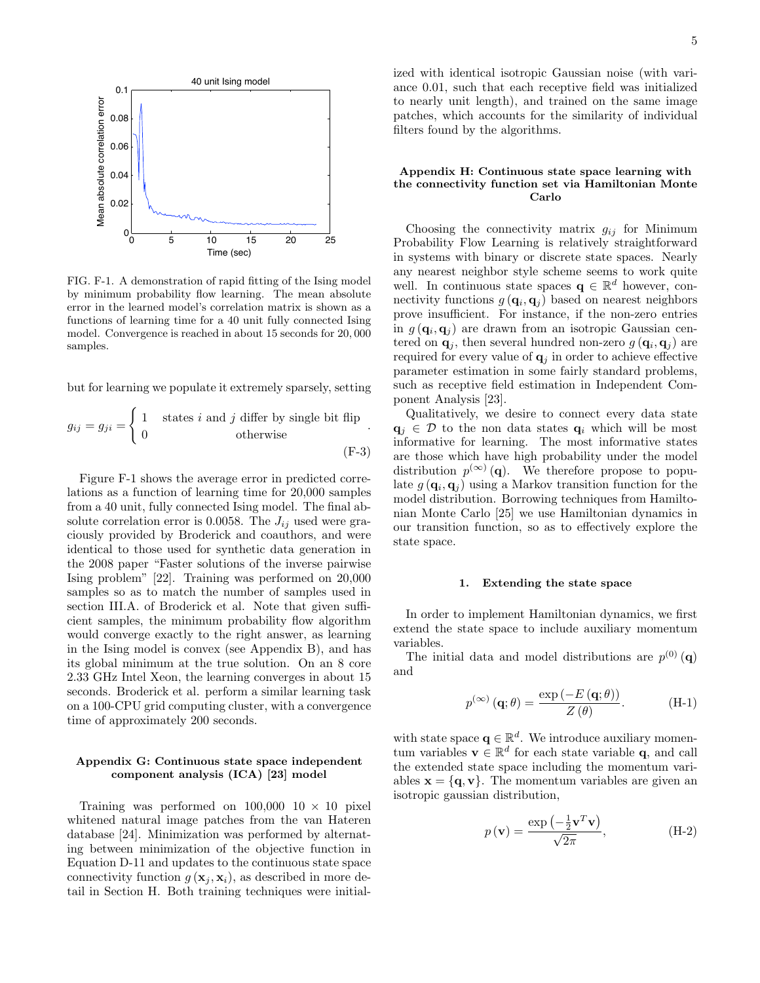

FIG. F-1. A demonstration of rapid fitting of the Ising model by minimum probability flow learning. The mean absolute error in the learned model's correlation matrix is shown as a functions of learning time for a 40 unit fully connected Ising model. Convergence is reached in about 15 seconds for 20, 000 samples.

but for learning we populate it extremely sparsely, setting

$$
g_{ij} = g_{ji} = \begin{cases} 1 & \text{states } i \text{ and } j \text{ differ by single bit flip} \\ 0 & \text{otherwise} \end{cases}.
$$
 (F-3)

Figure F-1 shows the average error in predicted correlations as a function of learning time for 20,000 samples from a 40 unit, fully connected Ising model. The final absolute correlation error is 0.0058. The  $J_{ij}$  used were graciously provided by Broderick and coauthors, and were identical to those used for synthetic data generation in the 2008 paper "Faster solutions of the inverse pairwise Ising problem" [22]. Training was performed on 20,000 samples so as to match the number of samples used in section III.A. of Broderick et al. Note that given sufficient samples, the minimum probability flow algorithm would converge exactly to the right answer, as learning in the Ising model is convex (see Appendix B), and has its global minimum at the true solution. On an 8 core 2.33 GHz Intel Xeon, the learning converges in about 15 seconds. Broderick et al. perform a similar learning task on a 100-CPU grid computing cluster, with a convergence time of approximately 200 seconds.

# Appendix G: Continuous state space independent component analysis (ICA) [23] model

Training was performed on  $100,000$   $10 \times 10$  pixel whitened natural image patches from the van Hateren database [24]. Minimization was performed by alternating between minimization of the objective function in Equation D-11 and updates to the continuous state space connectivity function  $g(\mathbf{x}_i, \mathbf{x}_i)$ , as described in more detail in Section H. Both training techniques were initialized with identical isotropic Gaussian noise (with variance 0.01, such that each receptive field was initialized to nearly unit length), and trained on the same image patches, which accounts for the similarity of individual filters found by the algorithms.

# Appendix H: Continuous state space learning with the connectivity function set via Hamiltonian Monte Carlo

Choosing the connectivity matrix  $g_{ij}$  for Minimum Probability Flow Learning is relatively straightforward in systems with binary or discrete state spaces. Nearly any nearest neighbor style scheme seems to work quite well. In continuous state spaces  $\mathbf{q} \in \mathbb{R}^d$  however, connectivity functions  $g(\mathbf{q}_i, \mathbf{q}_j)$  based on nearest neighbors prove insufficient. For instance, if the non-zero entries in  $g(\mathbf{q}_i, \mathbf{q}_j)$  are drawn from an isotropic Gaussian centered on  $\mathbf{q}_j$ , then several hundred non-zero  $g(\mathbf{q}_i, \mathbf{q}_j)$  are required for every value of  $q_j$  in order to achieve effective parameter estimation in some fairly standard problems, such as receptive field estimation in Independent Component Analysis [23].

Qualitatively, we desire to connect every data state  $q_i \in \mathcal{D}$  to the non data states  $q_i$  which will be most informative for learning. The most informative states are those which have high probability under the model distribution  $p^{(\infty)}(q)$ . We therefore propose to populate  $g(\mathbf{q}_i, \mathbf{q}_j)$  using a Markov transition function for the model distribution. Borrowing techniques from Hamiltonian Monte Carlo [25] we use Hamiltonian dynamics in our transition function, so as to effectively explore the state space.

#### 1. Extending the state space

In order to implement Hamiltonian dynamics, we first extend the state space to include auxiliary momentum variables.

The initial data and model distributions are  $p^{(0)}(\mathbf{q})$ and

$$
p^{(\infty)}(\mathbf{q};\theta) = \frac{\exp(-E(\mathbf{q};\theta))}{Z(\theta)}.
$$
 (H-1)

with state space  $\mathbf{q} \in \mathbb{R}^d$ . We introduce auxiliary momentum variables  $\mathbf{v} \in \mathbb{R}^d$  for each state variable q, and call the extended state space including the momentum variables  $\mathbf{x} = {\mathbf{q}, \mathbf{v}}$ . The momentum variables are given an isotropic gaussian distribution,

$$
p(\mathbf{v}) = \frac{\exp\left(-\frac{1}{2}\mathbf{v}^T\mathbf{v}\right)}{\sqrt{2\pi}},
$$
 (H-2)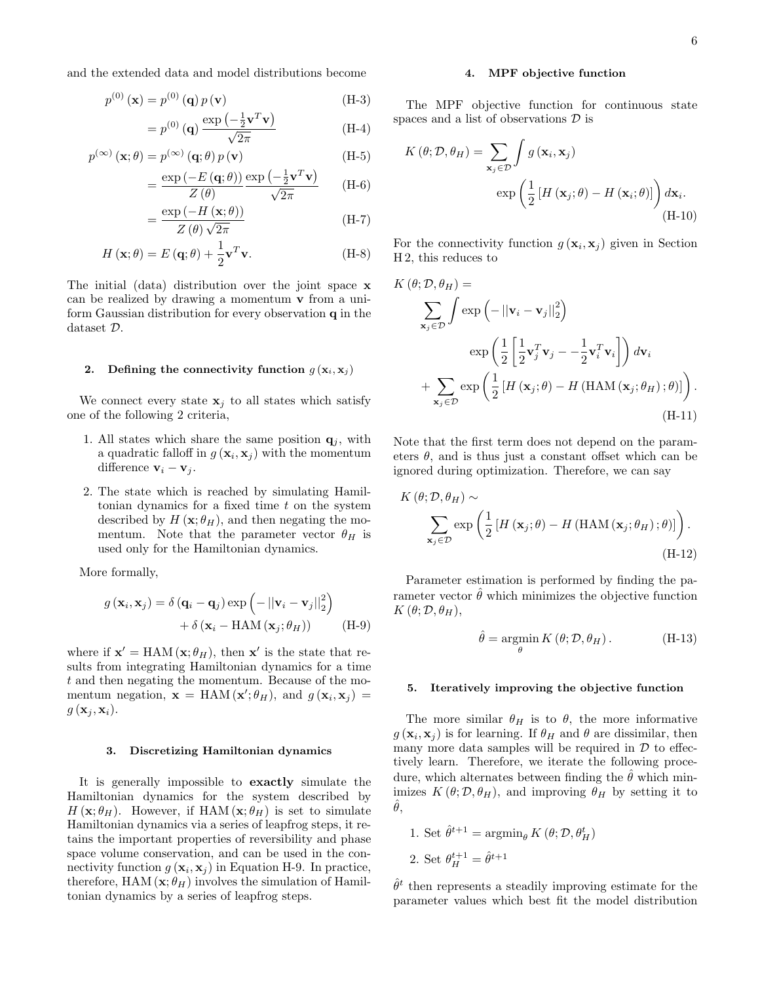and the extended data and model distributions become

$$
p^{(0)}\left(\mathbf{x}\right) = p^{(0)}\left(\mathbf{q}\right)p\left(\mathbf{v}\right) \tag{H-3}
$$

$$
=p^{(0)}\left(\mathbf{q}\right)\frac{\exp\left(-\frac{1}{2}\mathbf{v}^T\mathbf{v}\right)}{\sqrt{2\pi}}\tag{H-4}
$$

$$
p^{(\infty)}(\mathbf{x};\theta) = p^{(\infty)}(\mathbf{q};\theta) p(\mathbf{v})
$$
\n
$$
\exp(-E(\mathbf{q};\theta)) \exp(-\frac{1}{2}\mathbf{v}^T\mathbf{v})
$$
\n(H-5)

$$
= \frac{\exp\left(-E\left(\mathbf{q};\theta\right)\right)}{Z\left(\theta\right)} \frac{\exp\left(-\frac{1}{2}\mathbf{v}^T\mathbf{v}\right)}{\sqrt{2\pi}} \qquad \text{(H-6)}
$$

$$
=\frac{\exp\left(-H\left(\mathbf{x};\theta\right)\right)}{Z\left(\theta\right)\sqrt{2\pi}}\tag{H-7}
$$

$$
H(\mathbf{x};\theta) = E(\mathbf{q};\theta) + \frac{1}{2}\mathbf{v}^T\mathbf{v}.
$$
 (H-8)

The initial (data) distribution over the joint space x can be realized by drawing a momentum v from a uniform Gaussian distribution for every observation  $q$  in the dataset D.

#### 2. Defining the connectivity function  $g(\mathbf{x}_i, \mathbf{x}_j)$

We connect every state  $x_j$  to all states which satisfy one of the following 2 criteria,

- 1. All states which share the same position  $q_i$ , with a quadratic falloff in  $g(\mathbf{x}_i, \mathbf{x}_j)$  with the momentum difference  $v_i - v_j$ .
- 2. The state which is reached by simulating Hamiltonian dynamics for a fixed time  $t$  on the system described by  $H(\mathbf{x}; \theta_H)$ , and then negating the momentum. Note that the parameter vector  $\theta_H$  is used only for the Hamiltonian dynamics.

More formally,

$$
g(\mathbf{x}_{i}, \mathbf{x}_{j}) = \delta (\mathbf{q}_{i} - \mathbf{q}_{j}) \exp \left(-\left\|\mathbf{v}_{i} - \mathbf{v}_{j}\right\|_{2}^{2}\right) + \delta (\mathbf{x}_{i} - \text{HAM}(\mathbf{x}_{j}; \theta_{H})) \tag{H-9}
$$

where if  $\mathbf{x}' = \text{HAM}(\mathbf{x}; \theta_H)$ , then  $\mathbf{x}'$  is the state that results from integrating Hamiltonian dynamics for a time t and then negating the momentum. Because of the momentum negation,  $\mathbf{x} = \text{HAM}(\mathbf{x}'; \theta_H)$ , and  $g(\mathbf{x}_i, \mathbf{x}_j) =$  $g(\mathbf{x}_j, \mathbf{x}_i).$ 

# 3. Discretizing Hamiltonian dynamics

It is generally impossible to exactly simulate the Hamiltonian dynamics for the system described by  $H(\mathbf{x}; \theta_H)$ . However, if HAM  $(\mathbf{x}; \theta_H)$  is set to simulate Hamiltonian dynamics via a series of leapfrog steps, it retains the important properties of reversibility and phase space volume conservation, and can be used in the connectivity function  $g(\mathbf{x}_i, \mathbf{x}_j)$  in Equation H-9. In practice, therefore, HAM  $(\mathbf{x}; \theta_H)$  involves the simulation of Hamiltonian dynamics by a series of leapfrog steps.

#### 4. MPF objective function

The MPF objective function for continuous state spaces and a list of observations  $\mathcal D$  is

$$
K(\theta; \mathcal{D}, \theta_H) = \sum_{\mathbf{x}_j \in \mathcal{D}} \int g(\mathbf{x}_i, \mathbf{x}_j)
$$

$$
\exp\left(\frac{1}{2} \left[ H(\mathbf{x}_j; \theta) - H(\mathbf{x}_i; \theta) \right] \right) d\mathbf{x}_i.
$$
(H-10)

For the connectivity function  $g(\mathbf{x}_i, \mathbf{x}_j)$  given in Section H 2, this reduces to

$$
K(\theta; \mathcal{D}, \theta_H) =
$$
\n
$$
\sum_{\mathbf{x}_j \in \mathcal{D}} \int \exp\left(-\left\|\mathbf{v}_i - \mathbf{v}_j\right\|_2^2\right)
$$
\n
$$
\exp\left(\frac{1}{2}\left[\frac{1}{2}\mathbf{v}_j^T\mathbf{v}_j - -\frac{1}{2}\mathbf{v}_i^T\mathbf{v}_i\right]\right) d\mathbf{v}_i
$$
\n
$$
+ \sum_{\mathbf{x}_j \in \mathcal{D}} \exp\left(\frac{1}{2}\left[H\left(\mathbf{x}_j; \theta\right) - H\left(\text{HAM}\left(\mathbf{x}_j; \theta_H\right); \theta\right)\right]\right).
$$
\n(H-11)

Note that the first term does not depend on the parameters  $\theta$ , and is thus just a constant offset which can be ignored during optimization. Therefore, we can say

$$
K(\theta; \mathcal{D}, \theta_H) \sim \sum_{\mathbf{x}_j \in \mathcal{D}} \exp\left(\frac{1}{2} \left[ H\left(\mathbf{x}_j; \theta\right) - H\left(\text{HAM}\left(\mathbf{x}_j; \theta_H\right); \theta\right) \right] \right).
$$
\n(H-12)

Parameter estimation is performed by finding the parameter vector  $\hat{\theta}$  which minimizes the objective function  $K(\theta;\mathcal{D},\theta_H),$ 

$$
\hat{\theta} = \underset{\theta}{\text{argmin}} K(\theta; \mathcal{D}, \theta_H). \tag{H-13}
$$

# 5. Iteratively improving the objective function

The more similar  $\theta_H$  is to  $\theta$ , the more informative  $g(\mathbf{x}_i, \mathbf{x}_j)$  is for learning. If  $\theta_H$  and  $\theta$  are dissimilar, then many more data samples will be required in  $D$  to effectively learn. Therefore, we iterate the following procedure, which alternates between finding the  $\hat{\theta}$  which minimizes  $K(\theta; \mathcal{D}, \theta_H)$ , and improving  $\theta_H$  by setting it to  $\ddot{\theta}$ ,

\n- 1. Set 
$$
\hat{\theta}^{t+1} = \arg\min_{\theta} K(\theta; \mathcal{D}, \theta_H^t)
$$
\n- 2. Set  $\theta_H^{t+1} = \hat{\theta}^{t+1}$
\n

 $\hat{\theta}^t$  then represents a steadily improving estimate for the parameter values which best fit the model distribution